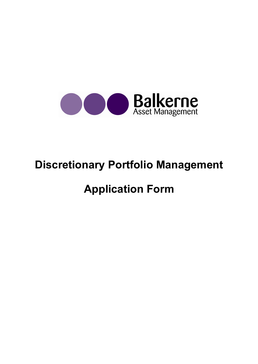

# Discretionary Portfolio Management

# Application Form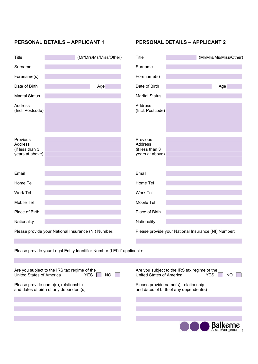| Title                                                     | (Mr/Mrs/Ms/Miss/Other)                                                  | Title                                                            | (Mr/Mrs/Ms/Miss/Other)                              |
|-----------------------------------------------------------|-------------------------------------------------------------------------|------------------------------------------------------------------|-----------------------------------------------------|
| Surname                                                   |                                                                         | Surname                                                          |                                                     |
| Forename(s)                                               |                                                                         | Forename(s)                                                      |                                                     |
| Date of Birth                                             | Age                                                                     | Date of Birth                                                    | Age                                                 |
| <b>Marital Status</b>                                     |                                                                         | <b>Marital Status</b>                                            |                                                     |
| Address<br>(Incl. Postcode)                               |                                                                         | <b>Address</b><br>(Incl. Postcode)                               |                                                     |
| Previous<br>Address<br>(if less than 3<br>years at above) |                                                                         | Previous<br><b>Address</b><br>(if less than 3<br>years at above) |                                                     |
| Email                                                     |                                                                         | Email                                                            |                                                     |
| Home Tel                                                  |                                                                         | Home Tel                                                         |                                                     |
| Work Tel                                                  |                                                                         | Work Tel                                                         |                                                     |
| Mobile Tel                                                |                                                                         | Mobile Tel                                                       |                                                     |
| Place of Birth                                            |                                                                         | Place of Birth                                                   |                                                     |
| Nationality                                               |                                                                         | Nationality                                                      |                                                     |
| Please provide your National Insurance (NI) Number:       |                                                                         |                                                                  | Please provide your National Insurance (NI) Number: |
|                                                           |                                                                         |                                                                  |                                                     |
|                                                           | Please provide your Legal Entity Identifier Number (LEI) if applicable: |                                                                  |                                                     |
|                                                           |                                                                         |                                                                  |                                                     |

| Are you subject to the IRS tax regime of the | Are you subject to the IRS tax regime of the |
|----------------------------------------------|----------------------------------------------|
| United States of America                     | United States of America                     |
| <b>YES</b>                                   | <b>YES</b>                                   |
| NΟ                                           | NO                                           |
| Please provide name(s), relationship         | Please provide name(s), relationship         |
| and dates of birth of any dependent(s)       | and dates of birth of any dependent(s)       |
|                                              |                                              |
|                                              | <b>Balkerne</b><br>Asset Management 1        |

PERSONAL DETAILS – APPLICANT 1 PERSONAL DETAILS – APPLICANT 2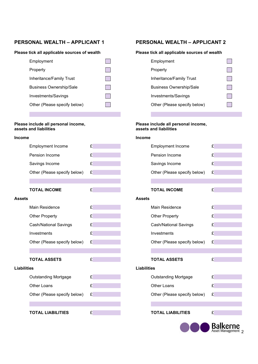# PERSONAL WEALTH – APPLICANT 1 PERSONAL WEALTH – APPLICANT 2

### Please tick all applicable sources of wealth Please tick all applicable sources of wealth

| Employment                     | Employment                     |
|--------------------------------|--------------------------------|
| Property                       | Property                       |
| Inheritance/Family Trust       | Inheritance/Family Trust       |
| <b>Business Ownership/Sale</b> | <b>Business Ownership/Sale</b> |
| Investments/Savings            | Investments/Savings            |
| Other (Please specify below)   | Other (Please specify below)   |

# Please include all personal income,<br>assets and liabilities

#### Income Income

|                    | <b>Employment Income</b>     | £ |                    | <b>Employment Income</b>     | £         |
|--------------------|------------------------------|---|--------------------|------------------------------|-----------|
|                    | Pension Income               | £ |                    | Pension Income               | £         |
|                    | Savings Income               | £ |                    | Savings Income               | £         |
|                    | Other (Please specify below) | £ |                    | Other (Please specify below) | £         |
|                    |                              |   |                    |                              |           |
|                    | <b>TOTAL INCOME</b>          | £ |                    | <b>TOTAL INCOME</b>          | £         |
| Assets             |                              |   | <b>Assets</b>      |                              |           |
|                    | <b>Main Residence</b>        | £ |                    | Main Residence               | £         |
|                    | <b>Other Property</b>        | £ |                    | <b>Other Property</b>        | £         |
|                    | <b>Cash/National Savings</b> | £ |                    | <b>Cash/National Savings</b> | £         |
|                    | Investments                  | £ |                    | Investments                  | $\pounds$ |
|                    | Other (Please specify below) | £ |                    | Other (Please specify below) | £         |
|                    |                              |   |                    |                              |           |
|                    | <b>TOTAL ASSETS</b>          | £ |                    | <b>TOTAL ASSETS</b>          | £         |
| <b>Liabilities</b> |                              |   | <b>Liabilities</b> |                              |           |
|                    | <b>Outstanding Mortgage</b>  | £ |                    | <b>Outstanding Mortgage</b>  | £         |
|                    | Other Loans                  | £ |                    | Other Loans                  | £         |
|                    | Other (Please specify below) | £ |                    | Other (Please specify below) | £         |
|                    |                              |   |                    |                              |           |
|                    | <b>TOTAL LIABILITIES</b>     | £ |                    | <b>TOTAL LIABILITIES</b>     | £         |

| Employment                     |  |
|--------------------------------|--|
| Property                       |  |
| Inheritance/Family Trust       |  |
| <b>Business Ownership/Sale</b> |  |
| Investments/Savings            |  |
| Other (Please specify below)   |  |

# Please include all personal income,<br>assets and liabilities

| ome |                              |   |
|-----|------------------------------|---|
|     | <b>Employment Income</b>     | £ |
|     | Pension Income               | £ |
|     | Savings Income               | £ |
|     | Other (Please specify below) | £ |
|     |                              |   |
|     | <b>TOTAL INCOME</b>          | £ |
| ets |                              |   |
|     | <b>Main Residence</b>        | £ |
|     | <b>Other Property</b>        | £ |
|     | <b>Cash/National Savings</b> | £ |
|     | Investments                  | £ |
|     | Other (Please specify below) | £ |
|     |                              |   |
|     | <b>TOTAL ASSETS</b>          | £ |
|     | pilities                     |   |
|     | <b>Outstanding Mortgage</b>  | £ |
|     | <b>Other Loans</b>           | £ |
|     | Other (Please specify below) | £ |
|     |                              |   |
|     | <b>TOTAL LIABILITIES</b>     | £ |
|     |                              |   |
|     |                              |   |

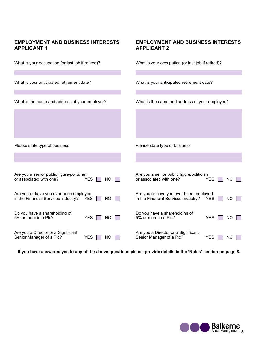# EMPLOYMENT AND BUSINESS INTERESTS EMPLOYMENT AND BUSINESS INTERESTS APPLICANT 1 APPLICANT 2

| What is your occupation (or last job if retired)?                                                        | What is your occupation (or last job if retired)?                                                 |  |  |
|----------------------------------------------------------------------------------------------------------|---------------------------------------------------------------------------------------------------|--|--|
| What is your anticipated retirement date?                                                                | What is your anticipated retirement date?                                                         |  |  |
| What is the name and address of your employer?                                                           | What is the name and address of your employer?                                                    |  |  |
|                                                                                                          |                                                                                                   |  |  |
| Please state type of business                                                                            | Please state type of business                                                                     |  |  |
|                                                                                                          |                                                                                                   |  |  |
| Are you a senior public figure/politician<br>or associated with one?<br><b>YES</b><br>NO                 | Are you a senior public figure/politician<br>or associated with one?<br><b>YES</b><br>ΝO          |  |  |
| Are you or have you ever been employed<br>in the Financial Services Industry?<br><b>YES</b><br><b>NO</b> | Are you or have you ever been employed<br>in the Financial Services Industry?<br><b>YES</b><br>NO |  |  |
| Do you have a shareholding of<br>5% or more in a Plc?<br><b>YES</b><br>NO                                | Do you have a shareholding of<br>5% or more in a Plc?<br><b>YES</b><br>NO                         |  |  |
| Are you a Director or a Significant<br>Senior Manager of a Plc?<br><b>YES</b><br>ΝO                      | Are you a Director or a Significant<br>Senior Manager of a Plc?<br><b>YES</b><br>ΝO               |  |  |

If you have answered yes to any of the above questions please provide details in the 'Notes' section on page 8.

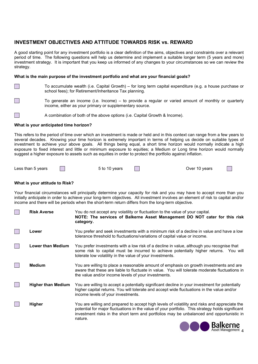# INVESTMENT OBJECTIVES AND ATTITUDE TOWARDS RISK vs. REWARD

A good starting point for any investment portfolio is a clear definition of the aims, objectives and constraints over a relevant period of time. The following questions will help us determine and implement a suitable longer term (5 years and more) investment strategy. It is important that you keep us informed of any changes to your circumstances so we can review the strategy.

### What is the main purpose of the investment portfolio and what are your financial goals?

- To accumulate wealth (i.e. Capital Growth) for long term capital expenditure (e.g. a house purchase or school fees); for Retirement/Inheritance Tax planning.
	- To generate an income (i.e. Income) to provide a regular or varied amount of monthly or quarterly income, either as your primary or supplementary source.
- $\Box$  A combination of both of the above options (i.e. Capital Growth & Income).

#### What is your anticipated time horizon?

This refers to the period of time over which an investment is made or held and in this context can range from a few years to several decades. Knowing your time horizon is extremely important in terms of helping us decide on suitable types of investment to achieve your above goals. All things being equal, a short time horizon would normally indicate a high exposure to fixed interest and little or minimum exposure to equities; a Medium or Long time horizon would normally suggest a higher exposure to assets such as equities in order to protect the portfolio against inflation.

| Less than 5 years | 5 to 10 years | Over 10 vears |  |
|-------------------|---------------|---------------|--|
|                   |               |               |  |

### What is your attitude to Risk?

Your financial circumstances will principally determine your capacity for risk and you may have to accept more than you initially anticipate in order to achieve your long-term objectives. All investment involves an element of risk to capital and/or income and there will be periods when the short-term return differs from the long-term objective.

| <b>Risk Averse</b>        | You do not accept any volatility or fluctuation to the value of your capital.<br>NOTE: The services of Balkerne Asset Management DO NOT cater for this risk<br>category.                                                                                                                                 |
|---------------------------|----------------------------------------------------------------------------------------------------------------------------------------------------------------------------------------------------------------------------------------------------------------------------------------------------------|
| Lower                     | You prefer and seek investments with a minimum risk of a decline in value and have a low<br>tolerance threshold to fluctuations/variations of capital value or income.                                                                                                                                   |
| <b>Lower than Medium</b>  | You prefer investments with a low risk of a decline in value, although you recognise that<br>some risk to capital must be incurred to achieve potentially higher returns. You will<br>tolerate low volatility in the value of your investments.                                                          |
| <b>Medium</b>             | You are willing to place a reasonable amount of emphasis on growth investments and are<br>aware that these are liable to fluctuate in value. You will tolerate moderate fluctuations in<br>the value and/or income levels of your investments.                                                           |
| <b>Higher than Medium</b> | You are willing to accept a potentially significant decline in your investment for potentially<br>higher capital returns. You will tolerate and accept wide fluctuations in the value and/or<br>income levels of your investments.                                                                       |
| <b>Higher</b>             | You are willing and prepared to accept high levels of volatility and risks and appreciate the<br>potential for major fluctuations in the value of your portfolio. This strategy holds significant<br>investment risks in the short term and portfolios may be unbalanced and opportunistic in<br>nature. |
|                           | <b>Dollipcon</b>                                                                                                                                                                                                                                                                                         |

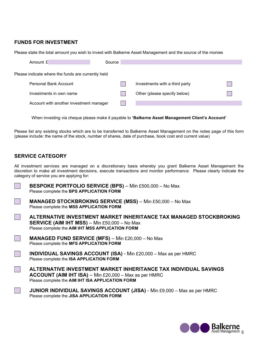## FUNDS FOR INVESTMENT

Please state the total amount you wish to invest with Balkerne Asset Management and the source of the monies

| Amount £                                           | Source |                                |  |
|----------------------------------------------------|--------|--------------------------------|--|
| Please indicate where the funds are currently held |        |                                |  |
| Personal Bank Account                              |        | Investments with a third party |  |
| Investments in own name                            |        | Other (please specify below)   |  |
| Account with another investment manager            |        |                                |  |

When investing via cheque please make it payable to 'Balkerne Asset Management Client's Account'

Please list any existing stocks which are to be transferred to Balkerne Asset Management on the notes page of this form (please include: the name of the stock, number of shares, date of purchase, book cost and current value)

## SERVICE CATEGORY

All investment services are managed on a discretionary basis whereby you grant Balkerne Asset Management the discretion to make all investment decisions, execute transactions and monitor performance. Please clearly indicate the category of service you are applying for:



BESPOKE PORTFOLIO SERVICE (BPS) – Min £500,000 – No Max Please complete the BPS APPLICATION FORM

 MANAGED STOCKBROKING SERVICE (MSS) – Min £50,000 – No Max Please complete the MSS APPLICATION FORM

 ALTERNATIVE INVESTMENT MARKET INHERITANCE TAX MANAGED STOCKBROKING SERVICE (AIM IHT MSS) – Min £50,000 – No Max Please complete the AIM IHT MSS APPLICATION FORM

 MANAGED FUND SERVICE (MFS) – Min £20,000 – No Max Please complete the MFS APPLICATION FORM

INDIVIDUAL SAVINGS ACCOUNT (ISA) - Min £20,000 - Max as per HMRC Please complete the ISA APPLICATION FORM

 ALTERNATIVE INVESTMENT MARKET INHERITANCE TAX INDIVIDUAL SAVINGS ACCOUNT (AIM IHT ISA) – Min £20,000 – Max as per HMRC Please complete the AIM IHT ISA APPLICATION FORM

 JUNIOR INDIVIDUAL SAVINGS ACCOUNT (JISA) - Min £9,000 – Max as per HMRC Please complete the JISA APPLICATION FORM

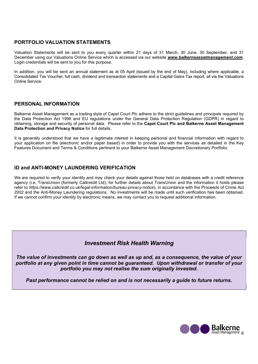# PORTFOLIO VALUATION STATEMENTS

Valuation Statements will be sent to you every quarter within 21 days of 31 March, 30 June, 30 September, and 31 December using our Valuations Online Service which is accessed via our website www.balkerneassetmanagement.com. Login credentials will be sent to you for this purpose.

In addition, you will be sent an annual statement as at 05 April (issued by the end of May), including where applicable, a Consolidated Tax Voucher, full cash, dividend and transaction statements and a Capital Gains Tax report, all via the Valuations Online Service.

### PERSONAL INFORMATION

Balkerne Asset Management as a trading style of Capel Court Plc adhere to the strict guidelines and principals required by the Data Protection Act 1998 and EU regulations under the General Data Protection Regulation (GDPR) in regard to obtaining, storage and security of personal data. Please refer to the Capel Court Plc and Balkerne Asset Management Data Protection and Privacy Notice for full details.

It is generally understood that we have a legitimate interest in keeping personal and financial information with regard to your application on file (electronic and/or paper based) in order to provide you with the services as detailed in the Key Features Document and Terms & Conditions pertinent to your Balkerne Asset Management Discretionary Portfolio.

## ID and ANTI-MONEY LAUNDERING VERIFICATION

We are required to verify your identity and may check your details against those held on databases with a credit reference agency (i.e. TransUnion (formerly Callcredit Ltd); for further details about TransUnion and the information it holds please refer to https://www.callcredit.co.uk/legal-information/bureau-privacy-notice), in accordance with the Proceeds of Crime Act 2002 and the Anti-Money Laundering regulations. No investments will be made until such verification has been obtained. If we cannot confirm your identity by electronic means, we may contact you to request additional information.

# Investment Risk Health Warning

The value of investments can go down as well as up and, as a consequence, the value of your portfolio at any given point in time cannot be guaranteed. Upon withdrawal or transfer of your portfolio you may not realise the sum originally invested.

Past performance cannot be relied on and is not necessarily a guide to future returns.

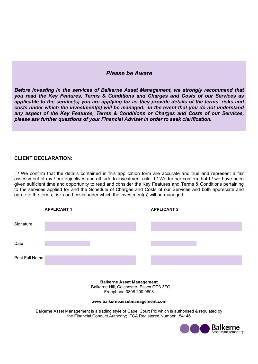# Please be Aware

Before investing in the services of Balkerne Asset Management, we strongly recommend that you read the Key Features, Terms & Conditions and Charges and Costs of our Services as applicable to the service(s) you are applying for as they provide details of the terms, risks and costs under which the investment(s) will be managed. In the event that you do not understand any aspect of the Key Features, Terms & Conditions or Charges and Costs of our Services, please ask further questions of your Financial Adviser in order to seek clarification.

# CLIENT DECLARATION:

I / We confirm that the details contained in this application form are accurate and true and represent a fair assessment of my / our objectives and attitude to investment risk. I / We further confirm that I / we have been given sufficient time and opportunity to read and consider the Key Features and Terms & Conditions pertaining to the services applied for and the Schedule of Charges and Costs of our Services and both appreciate and agree to the terms, risks and costs under which the investment(s) will be managed.



Balkerne Asset Management 1 Balkerne Hill, Colchester, Essex CO3 3FG Freephone 0808 200 0808

#### www.balkerneassetmanagement.com

Balkerne Asset Management is a trading style of Capel Court Plc which is authorised & regulated by the Financial Conduct Authority; FCA Registered Number 154146